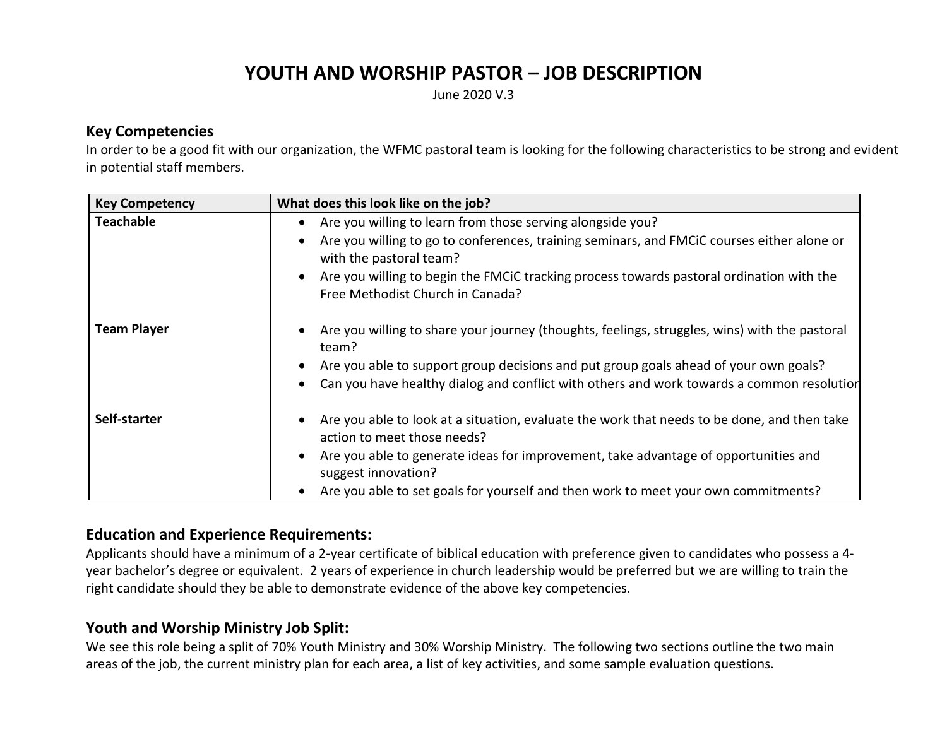# **YOUTH AND WORSHIP PASTOR – JOB DESCRIPTION**

June 2020 V.3

#### **Key Competencies**

In order to be a good fit with our organization, the WFMC pastoral team is looking for the following characteristics to be strong and evident in potential staff members.

| <b>Key Competency</b> | What does this look like on the job?                                                                                                      |  |
|-----------------------|-------------------------------------------------------------------------------------------------------------------------------------------|--|
| <b>Teachable</b>      | Are you willing to learn from those serving alongside you?<br>٠                                                                           |  |
|                       | Are you willing to go to conferences, training seminars, and FMCiC courses either alone or<br>$\bullet$<br>with the pastoral team?        |  |
|                       | Are you willing to begin the FMCiC tracking process towards pastoral ordination with the<br>$\bullet$<br>Free Methodist Church in Canada? |  |
| <b>Team Player</b>    | Are you willing to share your journey (thoughts, feelings, struggles, wins) with the pastoral<br>team?                                    |  |
|                       | Are you able to support group decisions and put group goals ahead of your own goals?<br>$\bullet$                                         |  |
|                       | Can you have healthy dialog and conflict with others and work towards a common resolution<br>$\bullet$                                    |  |
| Self-starter          | Are you able to look at a situation, evaluate the work that needs to be done, and then take<br>action to meet those needs?                |  |
|                       | Are you able to generate ideas for improvement, take advantage of opportunities and<br>$\bullet$<br>suggest innovation?                   |  |
|                       | Are you able to set goals for yourself and then work to meet your own commitments?<br>$\bullet$                                           |  |

#### **Education and Experience Requirements:**

Applicants should have a minimum of a 2-year certificate of biblical education with preference given to candidates who possess a 4 year bachelor's degree or equivalent. 2 years of experience in church leadership would be preferred but we are willing to train the right candidate should they be able to demonstrate evidence of the above key competencies.

# **Youth and Worship Ministry Job Split:**

We see this role being a split of 70% Youth Ministry and 30% Worship Ministry. The following two sections outline the two main areas of the job, the current ministry plan for each area, a list of key activities, and some sample evaluation questions.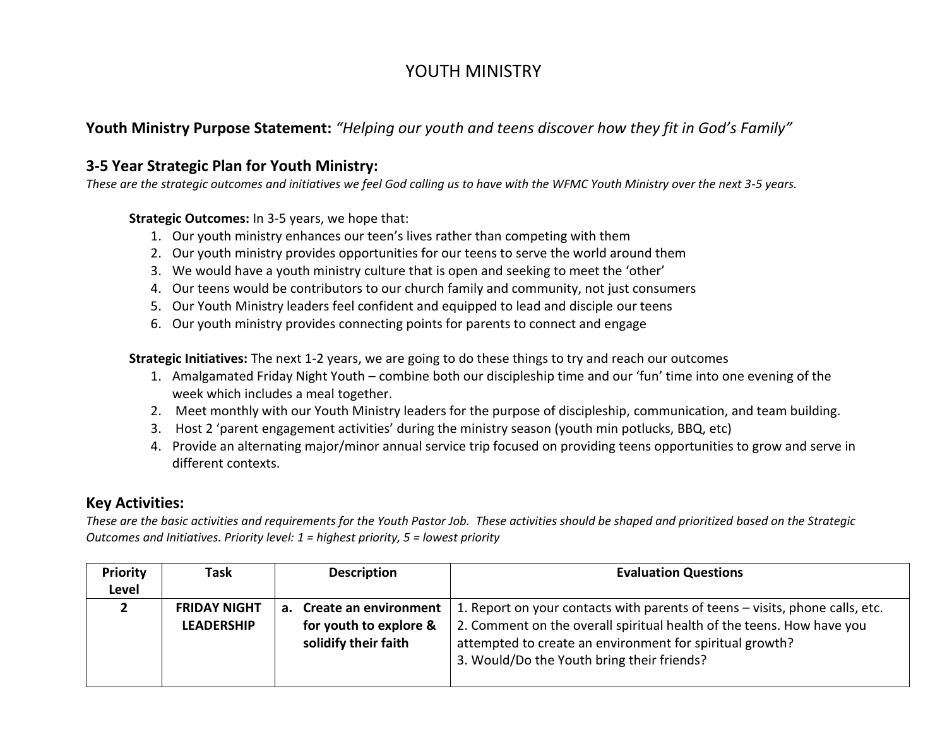# YOUTH MINISTRY

## **Youth Ministry Purpose Statement:** *"Helping our youth and teens discover how they fit in God's Family"*

#### **3-5 Year Strategic Plan for Youth Ministry:**

*These are the strategic outcomes and initiatives we feel God calling us to have with the WFMC Youth Ministry over the next 3-5 years.*

**Strategic Outcomes:** In 3-5 years, we hope that:

- 1. Our youth ministry enhances our teen's lives rather than competing with them
- 2. Our youth ministry provides opportunities for our teens to serve the world around them
- 3. We would have a youth ministry culture that is open and seeking to meet the 'other'
- 4. Our teens would be contributors to our church family and community, not just consumers
- 5. Our Youth Ministry leaders feel confident and equipped to lead and disciple our teens
- 6. Our youth ministry provides connecting points for parents to connect and engage

**Strategic Initiatives:** The next 1-2 years, we are going to do these things to try and reach our outcomes

- 1. Amalgamated Friday Night Youth combine both our discipleship time and our 'fun' time into one evening of the week which includes a meal together.
- 2. Meet monthly with our Youth Ministry leaders for the purpose of discipleship, communication, and team building.
- 3. Host 2 'parent engagement activities' during the ministry season (youth min potlucks, BBQ, etc)
- 4. Provide an alternating major/minor annual service trip focused on providing teens opportunities to grow and serve in different contexts.

# **Key Activities:**

*These are the basic activities and requirements for the Youth Pastor Job. These activities should be shaped and prioritized based on the Strategic Outcomes and Initiatives. Priority level: 1 = highest priority, 5 = lowest priority*

| <b>Priority</b><br>Level | Task                                     | <b>Description</b>                                                         | <b>Evaluation Questions</b>                                                                                                                                                                                                                                     |
|--------------------------|------------------------------------------|----------------------------------------------------------------------------|-----------------------------------------------------------------------------------------------------------------------------------------------------------------------------------------------------------------------------------------------------------------|
|                          | <b>FRIDAY NIGHT</b><br><b>LEADERSHIP</b> | a. Create an environment<br>for youth to explore &<br>solidify their faith | 1. Report on your contacts with parents of teens - visits, phone calls, etc.<br>2. Comment on the overall spiritual health of the teens. How have you<br>attempted to create an environment for spiritual growth?<br>3. Would/Do the Youth bring their friends? |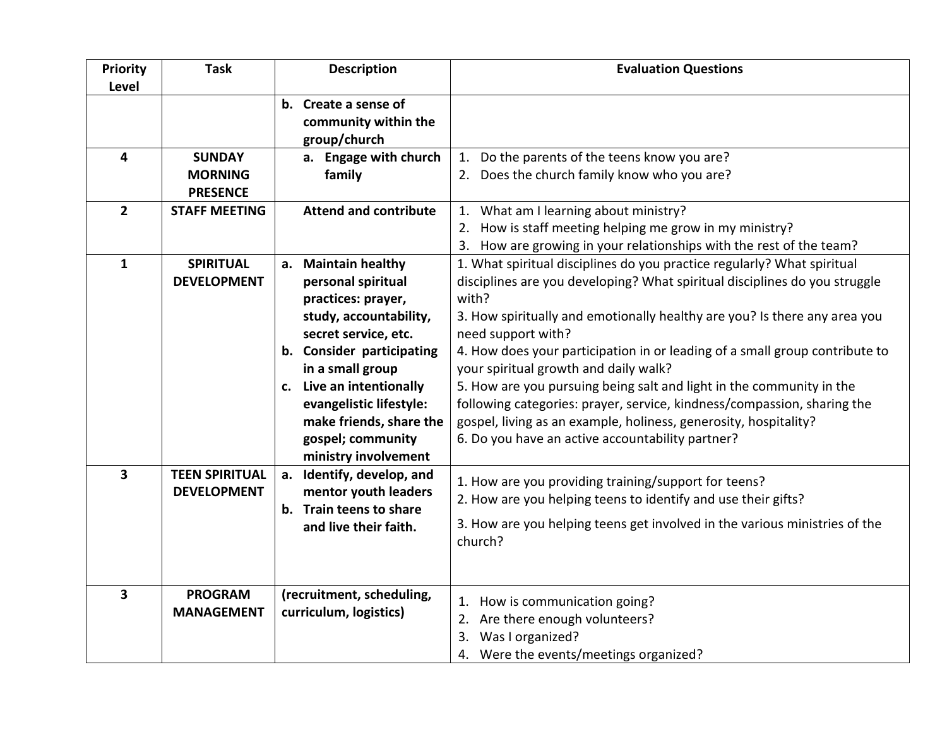| <b>Priority</b><br>Level | <b>Task</b>                                        | <b>Description</b>                                                                                                                                                                                                                                                                                | <b>Evaluation Questions</b>                                                                                                                                                                                                                                                                                                                                                                                                                                                                                                                                                                                                                                          |
|--------------------------|----------------------------------------------------|---------------------------------------------------------------------------------------------------------------------------------------------------------------------------------------------------------------------------------------------------------------------------------------------------|----------------------------------------------------------------------------------------------------------------------------------------------------------------------------------------------------------------------------------------------------------------------------------------------------------------------------------------------------------------------------------------------------------------------------------------------------------------------------------------------------------------------------------------------------------------------------------------------------------------------------------------------------------------------|
|                          |                                                    | b. Create a sense of<br>community within the<br>group/church                                                                                                                                                                                                                                      |                                                                                                                                                                                                                                                                                                                                                                                                                                                                                                                                                                                                                                                                      |
| 4                        | <b>SUNDAY</b><br><b>MORNING</b><br><b>PRESENCE</b> | a. Engage with church<br>family                                                                                                                                                                                                                                                                   | 1. Do the parents of the teens know you are?<br>2. Does the church family know who you are?                                                                                                                                                                                                                                                                                                                                                                                                                                                                                                                                                                          |
| $\overline{2}$           | <b>STAFF MEETING</b>                               | <b>Attend and contribute</b>                                                                                                                                                                                                                                                                      | 1. What am I learning about ministry?<br>2. How is staff meeting helping me grow in my ministry?<br>3. How are growing in your relationships with the rest of the team?                                                                                                                                                                                                                                                                                                                                                                                                                                                                                              |
| $\mathbf{1}$             | <b>SPIRITUAL</b><br><b>DEVELOPMENT</b>             | a. Maintain healthy<br>personal spiritual<br>practices: prayer,<br>study, accountability,<br>secret service, etc.<br>b. Consider participating<br>in a small group<br>c. Live an intentionally<br>evangelistic lifestyle:<br>make friends, share the<br>gospel; community<br>ministry involvement | 1. What spiritual disciplines do you practice regularly? What spiritual<br>disciplines are you developing? What spiritual disciplines do you struggle<br>with?<br>3. How spiritually and emotionally healthy are you? Is there any area you<br>need support with?<br>4. How does your participation in or leading of a small group contribute to<br>your spiritual growth and daily walk?<br>5. How are you pursuing being salt and light in the community in the<br>following categories: prayer, service, kindness/compassion, sharing the<br>gospel, living as an example, holiness, generosity, hospitality?<br>6. Do you have an active accountability partner? |
| $\overline{\mathbf{3}}$  | <b>TEEN SPIRITUAL</b><br><b>DEVELOPMENT</b>        | a. Identify, develop, and<br>mentor youth leaders<br>b. Train teens to share<br>and live their faith.                                                                                                                                                                                             | 1. How are you providing training/support for teens?<br>2. How are you helping teens to identify and use their gifts?<br>3. How are you helping teens get involved in the various ministries of the<br>church?                                                                                                                                                                                                                                                                                                                                                                                                                                                       |
| $\overline{\mathbf{3}}$  | <b>PROGRAM</b><br><b>MANAGEMENT</b>                | (recruitment, scheduling,<br>curriculum, logistics)                                                                                                                                                                                                                                               | 1. How is communication going?<br>2. Are there enough volunteers?<br>3. Was I organized?<br>4. Were the events/meetings organized?                                                                                                                                                                                                                                                                                                                                                                                                                                                                                                                                   |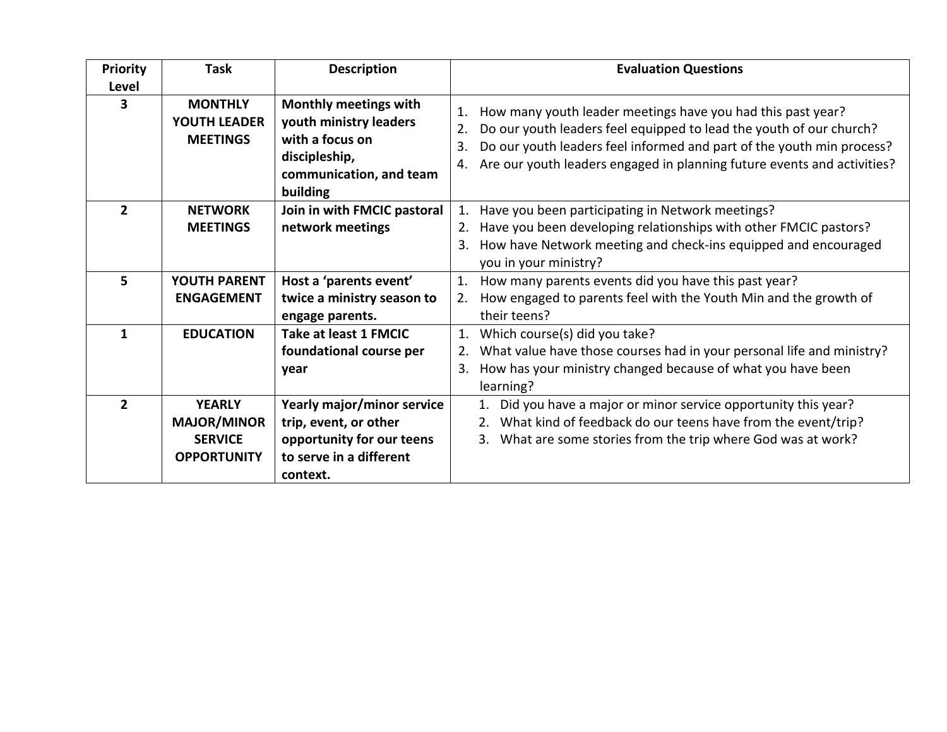| <b>Priority</b> | <b>Task</b>                                                                 | <b>Description</b>                                                                                                         | <b>Evaluation Questions</b>                                                                                                                                                                                                                                                                                    |
|-----------------|-----------------------------------------------------------------------------|----------------------------------------------------------------------------------------------------------------------------|----------------------------------------------------------------------------------------------------------------------------------------------------------------------------------------------------------------------------------------------------------------------------------------------------------------|
| Level<br>3      | <b>MONTHLY</b><br><b>YOUTH LEADER</b><br><b>MEETINGS</b>                    | Monthly meetings with<br>youth ministry leaders<br>with a focus on<br>discipleship,<br>communication, and team<br>building | How many youth leader meetings have you had this past year?<br>1.<br>Do our youth leaders feel equipped to lead the youth of our church?<br>2.<br>Do our youth leaders feel informed and part of the youth min process?<br>3.<br>Are our youth leaders engaged in planning future events and activities?<br>4. |
| $\overline{2}$  | <b>NETWORK</b><br><b>MEETINGS</b>                                           | Join in with FMCIC pastoral<br>network meetings                                                                            | Have you been participating in Network meetings?<br>1.<br>Have you been developing relationships with other FMCIC pastors?                                                                                                                                                                                     |
|                 |                                                                             |                                                                                                                            | How have Network meeting and check-ins equipped and encouraged<br>3.<br>you in your ministry?                                                                                                                                                                                                                  |
| 5               | YOUTH PARENT<br><b>ENGAGEMENT</b>                                           | Host a 'parents event'<br>twice a ministry season to<br>engage parents.                                                    | 1.<br>How many parents events did you have this past year?<br>How engaged to parents feel with the Youth Min and the growth of<br>2.<br>their teens?                                                                                                                                                           |
| 1               | <b>EDUCATION</b>                                                            | Take at least 1 FMCIC<br>foundational course per<br>year                                                                   | 1.<br>Which course(s) did you take?<br>What value have those courses had in your personal life and ministry?<br>2.<br>How has your ministry changed because of what you have been<br>3.<br>learning?                                                                                                           |
| $\overline{2}$  | <b>YEARLY</b><br><b>MAJOR/MINOR</b><br><b>SERVICE</b><br><b>OPPORTUNITY</b> | Yearly major/minor service<br>trip, event, or other<br>opportunity for our teens<br>to serve in a different<br>context.    | 1. Did you have a major or minor service opportunity this year?<br>What kind of feedback do our teens have from the event/trip?<br>2.<br>What are some stories from the trip where God was at work?<br>3.                                                                                                      |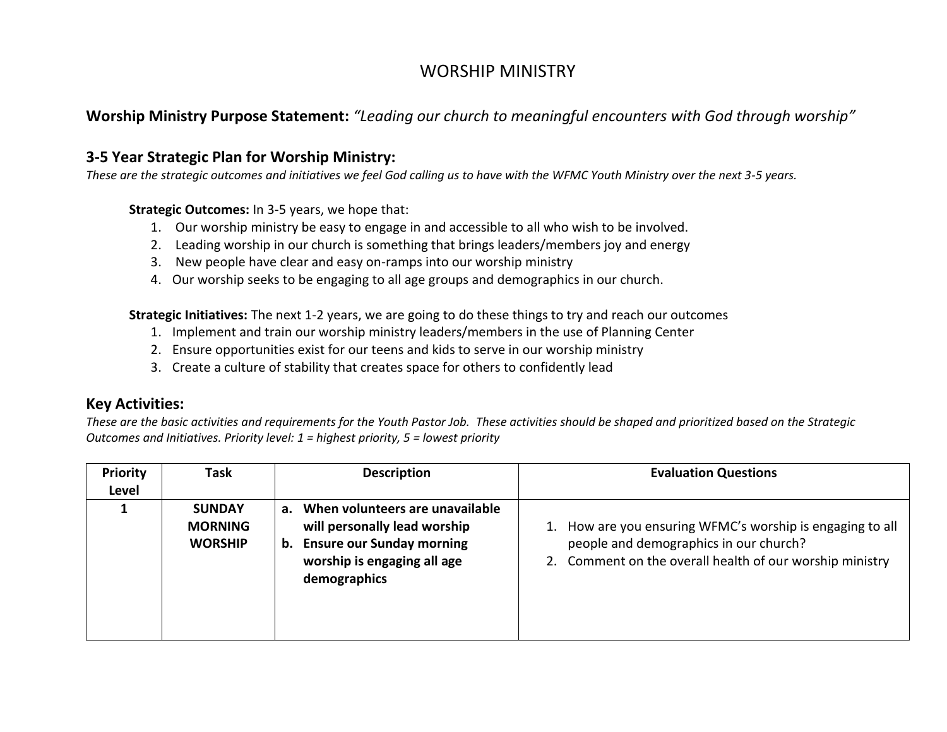# WORSHIP MINISTRY

## **Worship Ministry Purpose Statement:** *"Leading our church to meaningful encounters with God through worship"*

#### **3-5 Year Strategic Plan for Worship Ministry:**

*These are the strategic outcomes and initiatives we feel God calling us to have with the WFMC Youth Ministry over the next 3-5 years.*

**Strategic Outcomes:** In 3-5 years, we hope that:

- 1. Our worship ministry be easy to engage in and accessible to all who wish to be involved.
- 2. Leading worship in our church is something that brings leaders/members joy and energy
- 3. New people have clear and easy on-ramps into our worship ministry
- 4. Our worship seeks to be engaging to all age groups and demographics in our church.

**Strategic Initiatives:** The next 1-2 years, we are going to do these things to try and reach our outcomes

- 1. Implement and train our worship ministry leaders/members in the use of Planning Center
- 2. Ensure opportunities exist for our teens and kids to serve in our worship ministry
- 3. Create a culture of stability that creates space for others to confidently lead

#### **Key Activities:**

*These are the basic activities and requirements for the Youth Pastor Job. These activities should be shaped and prioritized based on the Strategic Outcomes and Initiatives. Priority level: 1 = highest priority, 5 = lowest priority*

| <b>Priority</b><br>Level | Task                                              | <b>Description</b>                                                                                                                                            | <b>Evaluation Questions</b>                                                                                                                                  |
|--------------------------|---------------------------------------------------|---------------------------------------------------------------------------------------------------------------------------------------------------------------|--------------------------------------------------------------------------------------------------------------------------------------------------------------|
|                          | <b>SUNDAY</b><br><b>MORNING</b><br><b>WORSHIP</b> | When volunteers are unavailable<br>$a_{\cdot}$<br>will personally lead worship<br>b. Ensure our Sunday morning<br>worship is engaging all age<br>demographics | How are you ensuring WFMC's worship is engaging to all<br>people and demographics in our church?<br>2. Comment on the overall health of our worship ministry |